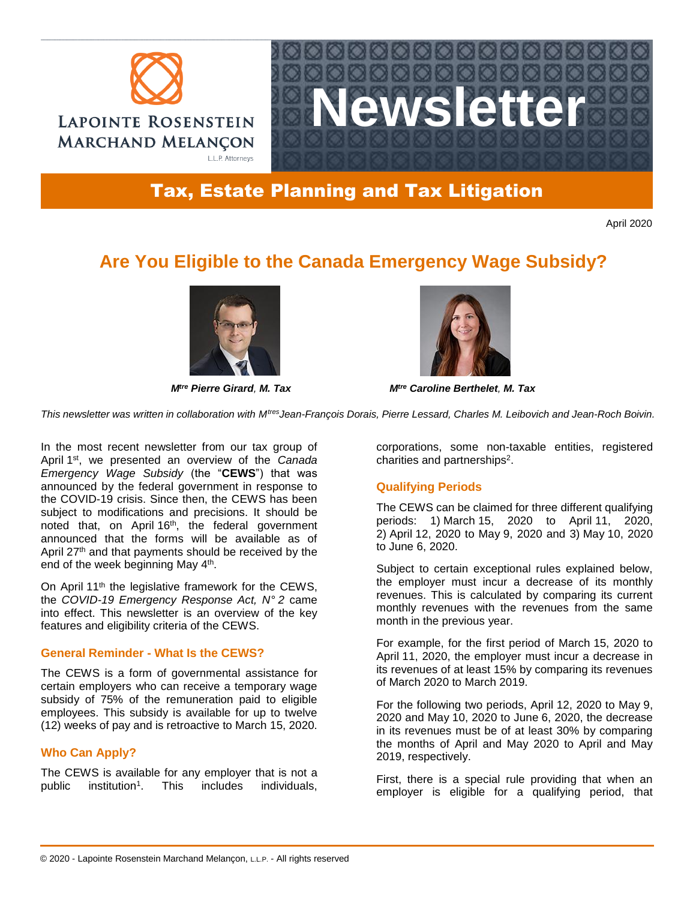



# Tax, Estate Planning and Tax Litigation

April 2020

# **Are You Eligible to the Canada Emergency Wage Subsidy?**





*Mtre Pierre Girard, M. Tax Mtre Caroline Berthelet, M. Tax*

*This newsletter was written in collaboration with MtresJean-François Dorais, Pierre Lessard, Charles M. Leibovich and Jean-Roch Boivin.*

In the most recent newsletter from our tax group of April 1 st, we presented an overview of the *Canada Emergency Wage Subsidy* (the "**CEWS**") that was announced by the federal government in response to the COVID-19 crisis. Since then, the CEWS has been subject to modifications and precisions. It should be noted that, on April 16<sup>th</sup>, the federal government announced that the forms will be available as of April 27th and that payments should be received by the end of the week beginning May 4<sup>th</sup>.

On April 11<sup>th</sup> the legislative framework for the CEWS, the *COVID-19 Emergency Response Act, N° 2* came into effect. This newsletter is an overview of the key features and eligibility criteria of the CEWS.

## **General Reminder - What Is the CEWS?**

The CEWS is a form of governmental assistance for certain employers who can receive a temporary wage subsidy of 75% of the remuneration paid to eligible employees. This subsidy is available for up to twelve (12) weeks of pay and is retroactive to March 15, 2020.

# **Who Can Apply?**

The CEWS is available for any employer that is not a public institution<sup>1</sup>. . This includes individuals,

corporations, some non-taxable entities, registered charities and partnerships<sup>2</sup>.

# **Qualifying Periods**

The CEWS can be claimed for three different qualifying periods: 1) March 15, 2020 to April 11, 2020, 2) April 12, 2020 to May 9, 2020 and 3) May 10, 2020 to June 6, 2020.

Subject to certain exceptional rules explained below, the employer must incur a decrease of its monthly revenues. This is calculated by comparing its current monthly revenues with the revenues from the same month in the previous year.

For example, for the first period of March 15, 2020 to April 11, 2020, the employer must incur a decrease in its revenues of at least 15% by comparing its revenues of March 2020 to March 2019.

For the following two periods, April 12, 2020 to May 9, 2020 and May 10, 2020 to June 6, 2020, the decrease in its revenues must be of at least 30% by comparing the months of April and May 2020 to April and May 2019, respectively.

First, there is a special rule providing that when an employer is eligible for a qualifying period, that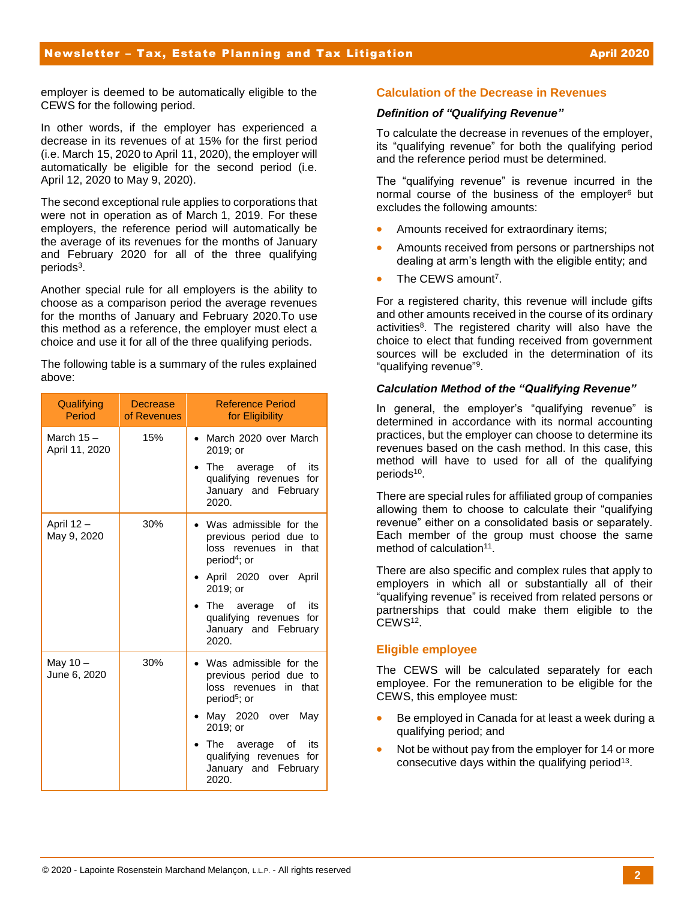employer is deemed to be automatically eligible to the CEWS for the following period.

In other words, if the employer has experienced a decrease in its revenues of at 15% for the first period (i.e. March 15, 2020 to April 11, 2020), the employer will automatically be eligible for the second period (i.e. April 12, 2020 to May 9, 2020).

The second exceptional rule applies to corporations that were not in operation as of March 1, 2019. For these employers, the reference period will automatically be the average of its revenues for the months of January and February 2020 for all of the three qualifying periods<sup>3</sup>.

Another special rule for all employers is the ability to choose as a comparison period the average revenues for the months of January and February 2020.To use this method as a reference, the employer must elect a choice and use it for all of the three qualifying periods.

The following table is a summary of the rules explained above:

| Qualifying<br>Period          | Decrease<br>of Revenues | <b>Reference Period</b><br>for Eligibility                                                                                                                                                                                        |
|-------------------------------|-------------------------|-----------------------------------------------------------------------------------------------------------------------------------------------------------------------------------------------------------------------------------|
| March $15-$<br>April 11, 2020 | 15%                     | • March 2020 over March<br>2019; or<br>The average of its<br>qualifying revenues<br>for<br>January and February<br>2020.                                                                                                          |
| April 12-<br>May 9, 2020      | 30%                     | • Was admissible for the<br>previous period due to<br>loss revenues in that<br>period <sup>4</sup> ; or<br>April 2020 over April<br>2019: or<br>The average of its<br>qualifying revenues<br>for<br>January and February<br>2020. |
| May 10 -<br>June 6, 2020      | 30%                     | • Was admissible for the<br>previous period due to<br>loss revenues in that<br>period <sup>5</sup> ; or<br>May 2020 over May<br>2019: or<br>The average of<br>its<br>qualifying revenues<br>for<br>January and February<br>2020.  |

## **Calculation of the Decrease in Revenues**

#### *Definition of "Qualifying Revenue"*

To calculate the decrease in revenues of the employer, its "qualifying revenue" for both the qualifying period and the reference period must be determined.

The "qualifying revenue" is revenue incurred in the normal course of the business of the employer<sup>6</sup> but excludes the following amounts:

- Amounts received for extraordinary items;
- Amounts received from persons or partnerships not dealing at arm's length with the eligible entity; and
- The CEWS amount<sup>7</sup>.

For a registered charity, this revenue will include gifts and other amounts received in the course of its ordinary activities<sup>8</sup>. The registered charity will also have the choice to elect that funding received from government sources will be excluded in the determination of its "qualifying revenue"<sup>9</sup> .

## *Calculation Method of the "Qualifying Revenue"*

In general, the employer's "qualifying revenue" is determined in accordance with its normal accounting practices, but the employer can choose to determine its revenues based on the cash method. In this case, this method will have to used for all of the qualifying periods<sup>10</sup>.

There are special rules for affiliated group of companies allowing them to choose to calculate their "qualifying revenue" either on a consolidated basis or separately. Each member of the group must choose the same method of calculation<sup>11</sup>.

There are also specific and complex rules that apply to employers in which all or substantially all of their "qualifying revenue" is received from related persons or partnerships that could make them eligible to the CEWS<sup>12</sup>.

## **Eligible employee**

The CEWS will be calculated separately for each employee. For the remuneration to be eligible for the CEWS, this employee must:

- Be employed in Canada for at least a week during a qualifying period; and
- Not be without pay from the employer for 14 or more consecutive days within the qualifying period<sup>13</sup>.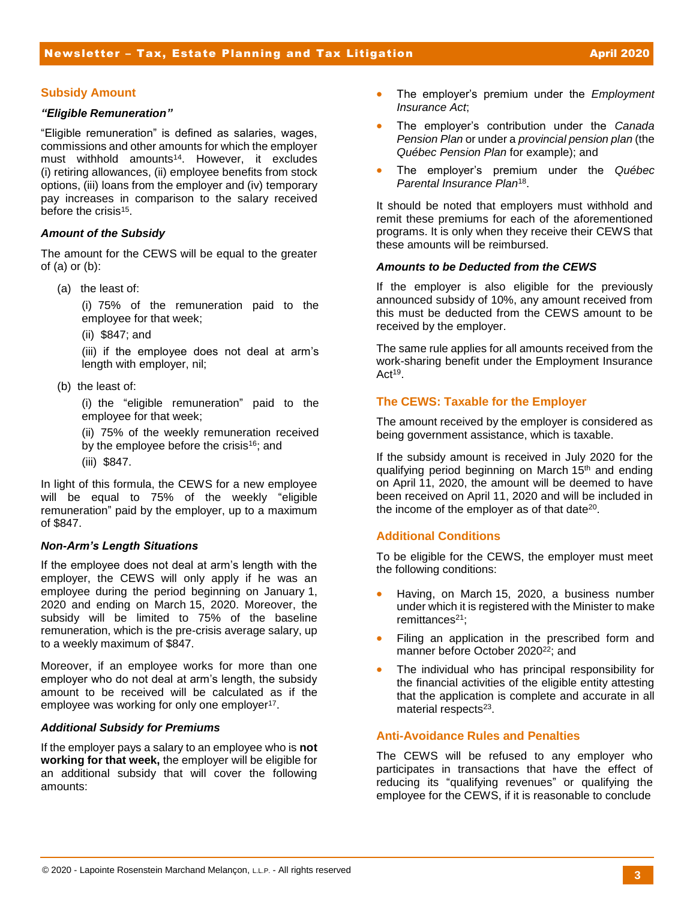## **Subsidy Amount**

#### *"Eligible Remuneration"*

"Eligible remuneration" is defined as salaries, wages, commissions and other amounts for which the employer must withhold amounts<sup>14</sup>. However, it excludes (i) retiring allowances, (ii) employee benefits from stock options, (iii) loans from the employer and (iv) temporary pay increases in comparison to the salary received before the crisis<sup>15</sup>.

## *Amount of the Subsidy*

The amount for the CEWS will be equal to the greater of  $(a)$  or  $(b)$ :

(a) the least of:

(i) 75% of the remuneration paid to the employee for that week;

(ii) \$847; and

(iii) if the employee does not deal at arm's length with employer, nil;

(b) the least of:

(i) the "eligible remuneration" paid to the employee for that week;

(ii) 75% of the weekly remuneration received by the employee before the crisis<sup>16</sup>; and

(iii) \$847.

In light of this formula, the CEWS for a new employee will be equal to 75% of the weekly "eligible remuneration" paid by the employer, up to a maximum of \$847.

#### *Non-Arm's Length Situations*

If the employee does not deal at arm's length with the employer, the CEWS will only apply if he was an employee during the period beginning on January 1, 2020 and ending on March 15, 2020. Moreover, the subsidy will be limited to 75% of the baseline remuneration, which is the pre-crisis average salary, up to a weekly maximum of \$847.

Moreover, if an employee works for more than one employer who do not deal at arm's length, the subsidy amount to be received will be calculated as if the employee was working for only one employer<sup>17</sup>.

#### *Additional Subsidy for Premiums*

If the employer pays a salary to an employee who is **not working for that week,** the employer will be eligible for an additional subsidy that will cover the following amounts:

- The employer's premium under the *Employment Insurance Act*;
- The employer's contribution under the *Canada Pension Plan* or under a *provincial pension plan* (the *Québec Pension Plan* for example); and
- The employer's premium under the *Québec Parental Insurance Plan*<sup>18</sup> .

It should be noted that employers must withhold and remit these premiums for each of the aforementioned programs. It is only when they receive their CEWS that these amounts will be reimbursed.

## *Amounts to be Deducted from the CEWS*

If the employer is also eligible for the previously announced subsidy of 10%, any amount received from this must be deducted from the CEWS amount to be received by the employer.

The same rule applies for all amounts received from the work-sharing benefit under the Employment Insurance Act<sup>19</sup>.

# **The CEWS: Taxable for the Employer**

The amount received by the employer is considered as being government assistance, which is taxable.

If the subsidy amount is received in July 2020 for the qualifying period beginning on March 15<sup>th</sup> and ending on April 11, 2020, the amount will be deemed to have been received on April 11, 2020 and will be included in the income of the employer as of that date<sup>20</sup>.

# **Additional Conditions**

To be eligible for the CEWS, the employer must meet the following conditions:

- Having, on March 15, 2020, a business number under which it is registered with the Minister to make remittances<sup>21</sup>;
- Filing an application in the prescribed form and manner before October 2020<sup>22</sup>; and
- The individual who has principal responsibility for the financial activities of the eligible entity attesting that the application is complete and accurate in all material respects<sup>23</sup>.

# **Anti-Avoidance Rules and Penalties**

The CEWS will be refused to any employer who participates in transactions that have the effect of reducing its "qualifying revenues" or qualifying the employee for the CEWS, if it is reasonable to conclude